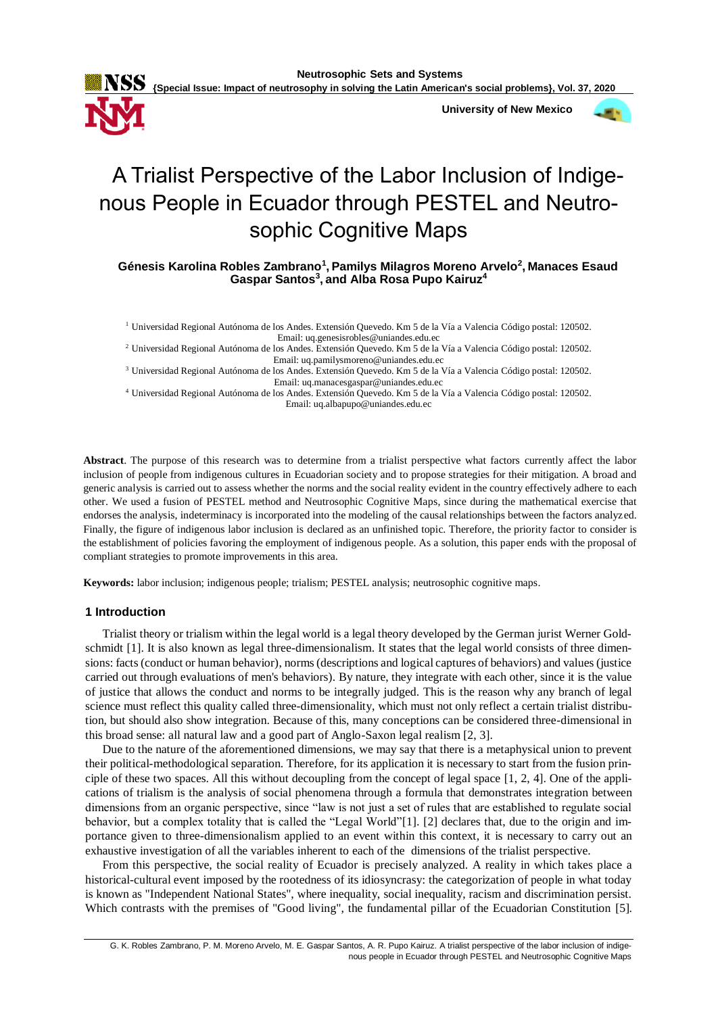

**University of New Mexico**



# A Trialist Perspective of the Labor Inclusion of Indigenous People in Ecuador through PESTEL and Neutrosophic Cognitive Maps

**Génesis Karolina Robles Zambrano<sup>1</sup> , Pamilys Milagros Moreno Arvelo<sup>2</sup> , Manaces Esaud Gaspar Santos<sup>3</sup> ,and Alba Rosa Pupo Kairuz<sup>4</sup>**

<sup>1</sup> Universidad Regional Autónoma de los Andes. Extensión Quevedo. Km 5 de la Vía a Valencia Código postal: 120502. Email: uq.genesisrobles@uniandes.edu.ec

<sup>2</sup> Universidad Regional Autónoma de los Andes. Extensión Quevedo. Km 5 de la Vía a Valencia Código postal: 120502. Email: uq.pamilysmoreno@uniandes.edu.ec

<sup>3</sup> Universidad Regional Autónoma de los Andes. Extensión Quevedo. Km 5 de la Vía a Valencia Código postal: 120502. Email: uq.manacesgaspar@uniandes.edu.ec

<sup>4</sup> Universidad Regional Autónoma de los Andes. Extensión Quevedo. Km 5 de la Vía a Valencia Código postal: 120502. Email: uq.albapupo@uniandes.edu.ec

**Abstract**. The purpose of this research was to determine from a trialist perspective what factors currently affect the labor inclusion of people from indigenous cultures in Ecuadorian society and to propose strategies for their mitigation. A broad and generic analysis is carried out to assess whether the norms and the social reality evident in the country effectively adhere to each other. We used a fusion of PESTEL method and Neutrosophic Cognitive Maps, since during the mathematical exercise that endorses the analysis, indeterminacy is incorporated into the modeling of the causal relationships between the factors analyzed. Finally, the figure of indigenous labor inclusion is declared as an unfinished topic. Therefore, the priority factor to consider is the establishment of policies favoring the employment of indigenous people. As a solution, this paper ends with the proposal of compliant strategies to promote improvements in this area.

**Keywords:** labor inclusion; indigenous people; trialism; PESTEL analysis; neutrosophic cognitive maps.

# **1 Introduction**

Trialist theory or trialism within the legal world is a legal theory developed by the German jurist Werner Goldschmidt [\[1\]](#page-6-0). It is also known as legal three-dimensionalism. It states that the legal world consists of three dimensions: facts (conduct or human behavior), norms (descriptions and logical captures of behaviors) and values (justice carried out through evaluations of men's behaviors). By nature, they integrate with each other, since it is the value of justice that allows the conduct and norms to be integrally judged. This is the reason why any branch of legal science must reflect this quality called three-dimensionality, which must not only reflect a certain trialist distribution, but should also show integration. Because of this, many conceptions can be considered three-dimensional in this broad sense: all natural law and a good part of Anglo-Saxon legal realism [\[2,](#page-6-1) [3\]](#page-6-2).

Due to the nature of the aforementioned dimensions, we may say that there is a metaphysical union to prevent their political-methodological separation. Therefore, for its application it is necessary to start from the fusion principle of these two spaces. All this without decoupling from the concept of legal space [\[1,](#page-6-0) [2,](#page-6-1) [4\]](#page-6-3). One of the applications of trialism is the analysis of social phenomena through a formula that demonstrates integration between dimensions from an organic perspective, since "law is not just a set of rules that are established to regulate social behavior, but a complex totality that is called the "Legal World"[\[1\]](#page-6-0). [\[2\]](#page-6-1) declares that, due to the origin and importance given to three-dimensionalism applied to an event within this context, it is necessary to carry out an exhaustive investigation of all the variables inherent to each of the dimensions of the trialist perspective.

From this perspective, the social reality of Ecuador is precisely analyzed. A reality in which takes place a historical-cultural event imposed by the rootedness of its idiosyncrasy: the categorization of people in what today is known as "Independent National States", where inequality, social inequality, racism and discrimination persist. Which contrasts with the premises of "Good living", the fundamental pillar of the Ecuadorian Constitution [\[5\]](#page-6-4).

G. K. Robles Zambrano, P. M. Moreno Arvelo, M. E. Gaspar Santos, A. R. Pupo Kairuz. A trialist perspective of the labor inclusion of indigenous people in Ecuador through PESTEL and Neutrosophic Cognitive Maps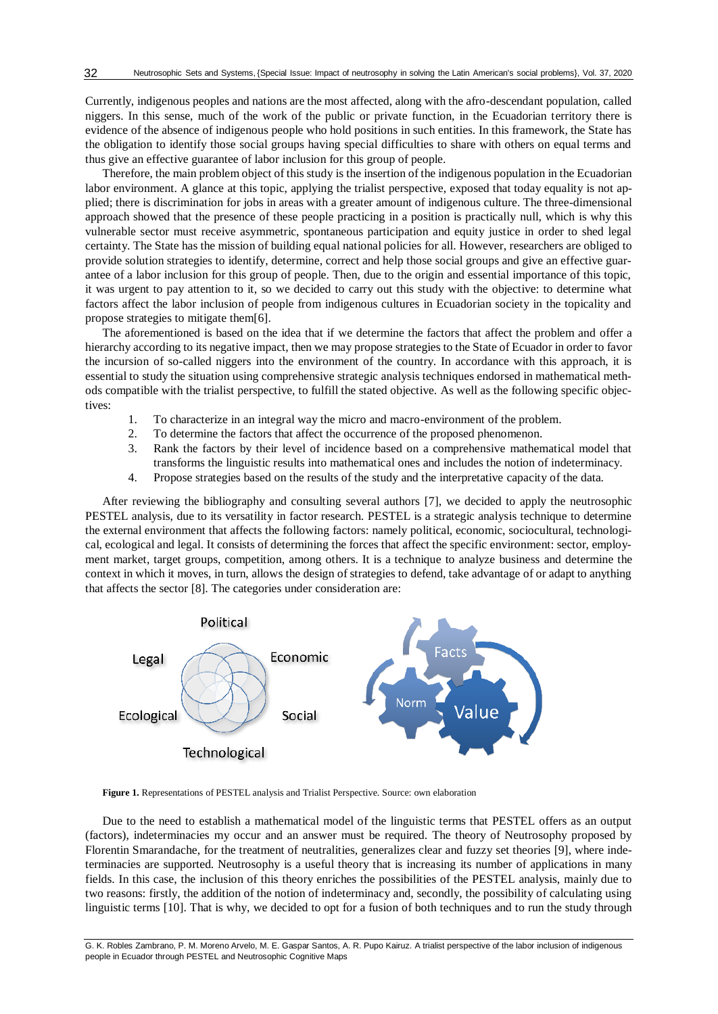Currently, indigenous peoples and nations are the most affected, along with the afro-descendant population, called niggers. In this sense, much of the work of the public or private function, in the Ecuadorian territory there is evidence of the absence of indigenous people who hold positions in such entities. In this framework, the State has the obligation to identify those social groups having special difficulties to share with others on equal terms and thus give an effective guarantee of labor inclusion for this group of people.

Therefore, the main problem object of this study is the insertion of the indigenous population in the Ecuadorian labor environment. A glance at this topic, applying the trialist perspective, exposed that today equality is not applied; there is discrimination for jobs in areas with a greater amount of indigenous culture. The three-dimensional approach showed that the presence of these people practicing in a position is practically null, which is why this vulnerable sector must receive asymmetric, spontaneous participation and equity justice in order to shed legal certainty. The State has the mission of building equal national policies for all. However, researchers are obliged to provide solution strategies to identify, determine, correct and help those social groups and give an effective guarantee of a labor inclusion for this group of people. Then, due to the origin and essential importance of this topic, it was urgent to pay attention to it, so we decided to carry out this study with the objective: to determine what factors affect the labor inclusion of people from indigenous cultures in Ecuadorian society in the topicality and propose strategies to mitigate them[\[6\]](#page-6-5).

The aforementioned is based on the idea that if we determine the factors that affect the problem and offer a hierarchy according to its negative impact, then we may propose strategies to the State of Ecuador in order to favor the incursion of so-called niggers into the environment of the country. In accordance with this approach, it is essential to study the situation using comprehensive strategic analysis techniques endorsed in mathematical methods compatible with the trialist perspective, to fulfill the stated objective. As well as the following specific objectives:

- 1. To characterize in an integral way the micro and macro-environment of the problem.
- 2. To determine the factors that affect the occurrence of the proposed phenomenon.
- 3. Rank the factors by their level of incidence based on a comprehensive mathematical model that transforms the linguistic results into mathematical ones and includes the notion of indeterminacy.
- 4. Propose strategies based on the results of the study and the interpretative capacity of the data.

After reviewing the bibliography and consulting several authors [\[7\]](#page-6-6), we decided to apply the neutrosophic PESTEL analysis, due to its versatility in factor research. PESTEL is a strategic analysis technique to determine the external environment that affects the following factors: namely political, economic, sociocultural, technological, ecological and legal. It consists of determining the forces that affect the specific environment: sector, employment market, target groups, competition, among others. It is a technique to analyze business and determine the context in which it moves, in turn, allows the design of strategies to defend, take advantage of or adapt to anything that affects the sector [\[8\]](#page-6-7). The categories under consideration are:



**Figure 1.** Representations of PESTEL analysis and Trialist Perspective. Source: own elaboration

Due to the need to establish a mathematical model of the linguistic terms that PESTEL offers as an output (factors), indeterminacies my occur and an answer must be required. The theory of Neutrosophy proposed by Florentin Smarandache, for the treatment of neutralities, generalizes clear and fuzzy set theories [\[9\]](#page-6-8), where indeterminacies are supported. Neutrosophy is a useful theory that is increasing its number of applications in many fields. In this case, the inclusion of this theory enriches the possibilities of the PESTEL analysis, mainly due to two reasons: firstly, the addition of the notion of indeterminacy and, secondly, the possibility of calculating using linguistic terms [\[10\]](#page-6-9). That is why, we decided to opt for a fusion of both techniques and to run the study through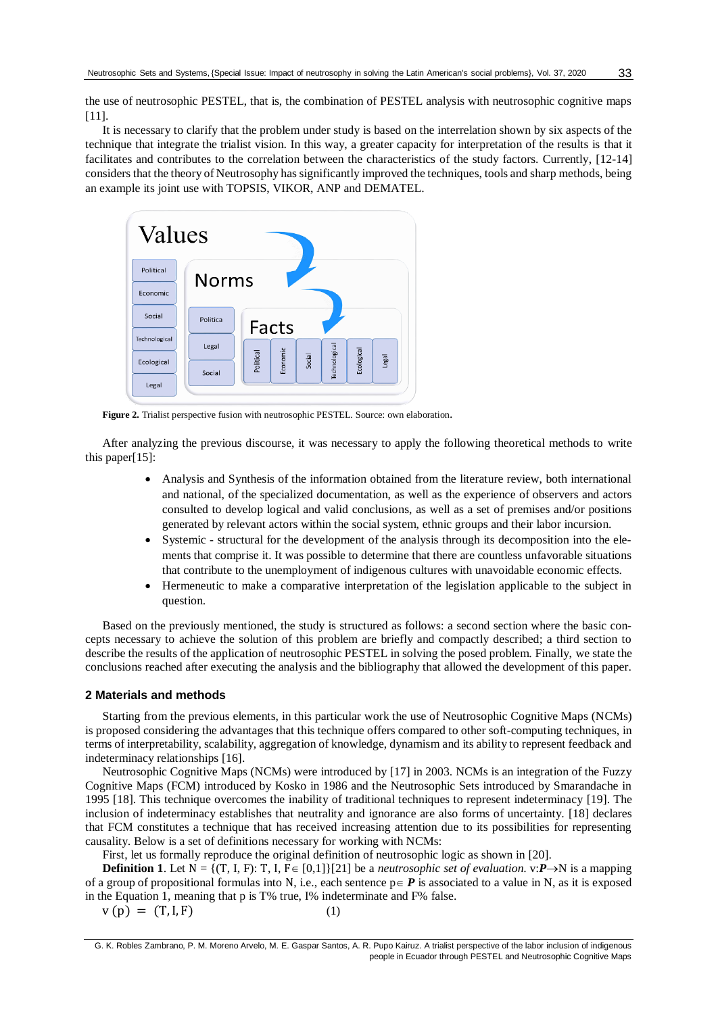the use of neutrosophic PESTEL, that is, the combination of PESTEL analysis with neutrosophic cognitive maps [\[11\]](#page-6-10).

It is necessary to clarify that the problem under study is based on the interrelation shown by six aspects of the technique that integrate the trialist vision. In this way, a greater capacity for interpretation of the results is that it facilitates and contributes to the correlation between the characteristics of the study factors. Currently, [\[12-14\]](#page-7-0) considersthat the theory of Neutrosophy has significantly improved the techniques, tools and sharp methods, being an example its joint use with TOPSIS, VIKOR, ANP and DEMATEL.



**Figure 2.** Trialist perspective fusion with neutrosophic PESTEL. Source: own elaboration.

After analyzing the previous discourse, it was necessary to apply the following theoretical methods to write this paper[\[15\]](#page-7-1):

- Analysis and Synthesis of the information obtained from the literature review, both international and national, of the specialized documentation, as well as the experience of observers and actors consulted to develop logical and valid conclusions, as well as a set of premises and/or positions generated by relevant actors within the social system, ethnic groups and their labor incursion.
- Systemic structural for the development of the analysis through its decomposition into the elements that comprise it. It was possible to determine that there are countless unfavorable situations that contribute to the unemployment of indigenous cultures with unavoidable economic effects.
- Hermeneutic to make a comparative interpretation of the legislation applicable to the subject in question.

Based on the previously mentioned, the study is structured as follows: a second section where the basic concepts necessary to achieve the solution of this problem are briefly and compactly described; a third section to describe the results of the application of neutrosophic PESTEL in solving the posed problem. Finally, we state the conclusions reached after executing the analysis and the bibliography that allowed the development of this paper.

#### **2 Materials and methods**

Starting from the previous elements, in this particular work the use of Neutrosophic Cognitive Maps (NCMs) is proposed considering the advantages that this technique offers compared to other soft-computing techniques, in terms of interpretability, scalability, aggregation of knowledge, dynamism and its ability to represent feedback and indeterminacy relationships [\[16\]](#page-7-2).

Neutrosophic Cognitive Maps (NCMs) were introduced by [\[17\]](#page-7-3) in 2003. NCMs is an integration of the Fuzzy Cognitive Maps (FCM) introduced by Kosko in 1986 and the Neutrosophic Sets introduced by Smarandache in 1995 [\[18\]](#page-7-4). This technique overcomes the inability of traditional techniques to represent indeterminacy [\[19\]](#page-7-5). The inclusion of indeterminacy establishes that neutrality and ignorance are also forms of uncertainty. [\[18\]](#page-7-4) declares that FCM constitutes a technique that has received increasing attention due to its possibilities for representing causality. Below is a set of definitions necessary for working with NCMs:

First, let us formally reproduce the original definition of neutrosophic logic as shown in [\[20\]](#page-7-6).

**Definition 1**. Let  $N = \{(T, I, F): T, I, F \in [0,1]\}$ [\[21\]](#page-7-7) be a *neutrosophic set of evaluation*. v:*P* $\rightarrow$ N is a mapping of a group of propositional formulas into N, i.e., each sentence  $p \in P$  is associated to a value in N, as it is exposed in the Equation 1, meaning that p is T% true, I% indeterminate and F% false.

 $v(p) = (T, I, F)$  (1)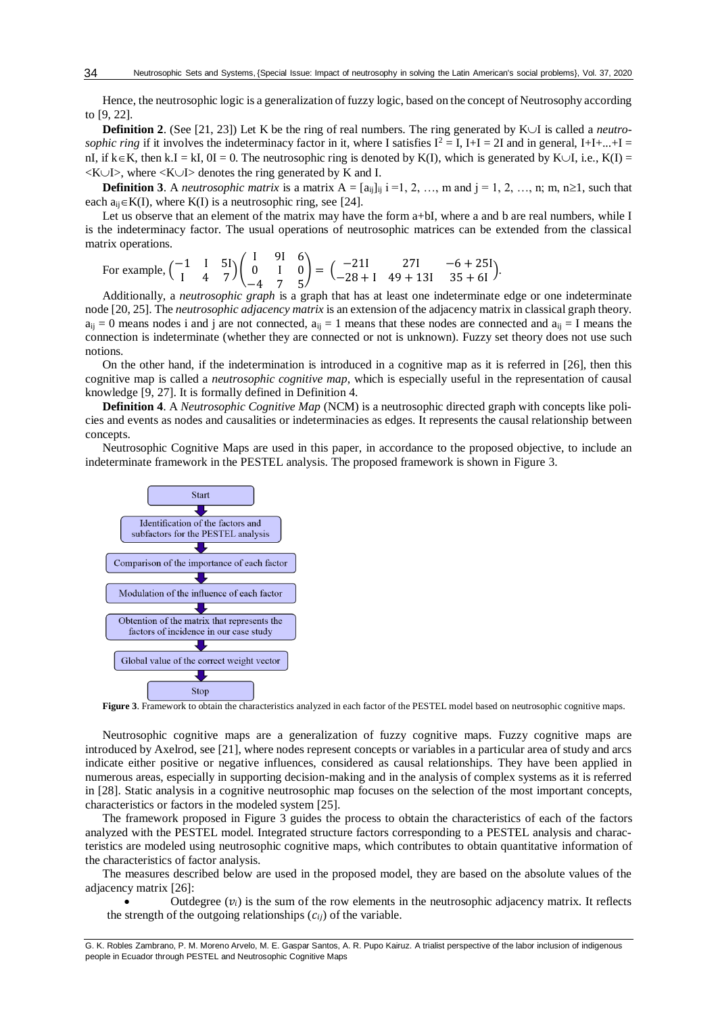Hence, the neutrosophic logic is a generalization of fuzzy logic, based on the concept of Neutrosophy according to [\[9,](#page-6-8) [22\]](#page-7-8).

**Definition 2**. (See [\[21,](#page-7-7) [23\]](#page-7-9)) Let K be the ring of real numbers. The ring generated by  $K \cup I$  is called a *neutrosophic ring* if it involves the indeterminacy factor in it, where I satisfies  $I^2 = I$ ,  $I+I = 2I$  and in general,  $I+I+...+I =$ nI, if  $k \in K$ , then k.I = kI, 0I = 0. The neutrosophic ring is denoted by K(I), which is generated by K $\cup$ I, i.e., K(I) =  $\langle K \cup I \rangle$ , where  $\langle K \cup I \rangle$  denotes the ring generated by K and I.

**Definition 3**. A *neutrosophic matrix* is a matrix  $A = [a_{ij}]_{ij}$  i =1, 2, …, m and j = 1, 2, …, n; m, n $\geq 1$ , such that each  $a_{ii} \in K(I)$ , where  $K(I)$  is a neutrosophic ring, see [\[24\]](#page-7-10).

Let us observe that an element of the matrix may have the form a+bI, where a and b are real numbers, while I is the indeterminacy factor. The usual operations of neutrosophic matrices can be extended from the classical matrix operations.

For example, 
$$
\begin{pmatrix} -1 & 1 & 5 \ 1 & 4 & 7 \end{pmatrix} \begin{pmatrix} 1 & 91 & 6 \ 0 & 1 & 0 \ -4 & 7 & 5 \end{pmatrix} = \begin{pmatrix} -211 & 271 & -6 + 251 \ -28 + 1 & 49 + 131 & 35 + 61 \end{pmatrix}
$$
.

Additionally, a *neutrosophic graph* is a graph that has at least one indeterminate edge or one indeterminate node [\[20,](#page-7-6) [25\]](#page-7-11). The *neutrosophic adjacency matrix* is an extension of the adjacency matrix in classical graph theory.  $a_{ii} = 0$  means nodes i and j are not connected,  $a_{ii} = 1$  means that these nodes are connected and  $a_{ii} = I$  means the connection is indeterminate (whether they are connected or not is unknown). Fuzzy set theory does not use such notions.

On the other hand, if the indetermination is introduced in a cognitive map as it is referred in [\[26\]](#page-7-12), then this cognitive map is called a *neutrosophic cognitive map*, which is especially useful in the representation of causal knowledge [\[9,](#page-6-8) [27\]](#page-7-13). It is formally defined in Definition 4.

**Definition 4**. A *Neutrosophic Cognitive Map* (NCM) is a neutrosophic directed graph with concepts like policies and events as nodes and causalities or indeterminacies as edges. It represents the causal relationship between concepts.

Neutrosophic Cognitive Maps are used in this paper, in accordance to the proposed objective, to include an indeterminate framework in the PESTEL analysis. The proposed framework is shown in Figure 3.



**Figure 3**. Framework to obtain the characteristics analyzed in each factor of the PESTEL model based on neutrosophic cognitive maps.

Neutrosophic cognitive maps are a generalization of fuzzy cognitive maps. Fuzzy cognitive maps are introduced by Axelrod, see [\[21\]](#page-7-7), where nodes represent concepts or variables in a particular area of study and arcs indicate either positive or negative influences, considered as causal relationships. They have been applied in numerous areas, especially in supporting decision-making and in the analysis of complex systems as it is referred in [\[28\]](#page-7-14). Static analysis in a cognitive neutrosophic map focuses on the selection of the most important concepts, characteristics or factors in the modeled system [\[25\]](#page-7-11).

The framework proposed in Figure 3 guides the process to obtain the characteristics of each of the factors analyzed with the PESTEL model. Integrated structure factors corresponding to a PESTEL analysis and characteristics are modeled using neutrosophic cognitive maps, which contributes to obtain quantitative information of the characteristics of factor analysis.

The measures described below are used in the proposed model, they are based on the absolute values of the adjacency matrix [\[26\]](#page-7-12):

Outdegree  $(v_i)$  is the sum of the row elements in the neutrosophic adjacency matrix. It reflects the strength of the outgoing relationships  $(c_{ij})$  of the variable.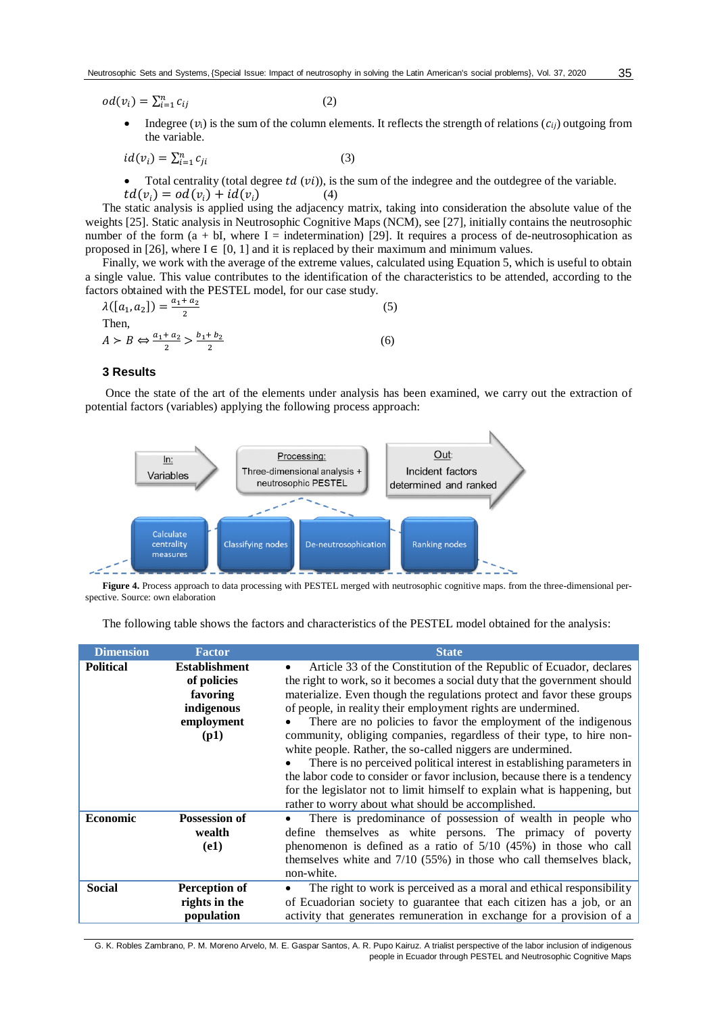$$
od(v_i) = \sum_{i=1}^{n} c_{ij}
$$
 (2)

• Indegree  $(v_i)$  is the sum of the column elements. It reflects the strength of relations  $(c_{ij})$  outgoing from the variable.

$$
id(v_i) = \sum_{i=1}^{n} c_{ji}
$$
 (3)

Total centrality (total degree  $td(vi)$ ), is the sum of the indegree and the outdegree of the variable.  $td(v_i) = od(v_i) + id(v_i)$  (4)

The static analysis is applied using the adjacency matrix, taking into consideration the absolute value of the weights [\[25\]](#page-7-11). Static analysis in Neutrosophic Cognitive Maps (NCM), see [\[27\]](#page-7-13), initially contains the neutrosophic number of the form  $(a + bI)$ , where I = indetermination) [\[29\]](#page-7-15). It requires a process of de-neutrosophication as proposed in [\[26\]](#page-7-12), where  $I \in [0, 1]$  and it is replaced by their maximum and minimum values.

Finally, we work with the average of the extreme values, calculated using Equation 5, which is useful to obtain a single value. This value contributes to the identification of the characteristics to be attended, according to the factors obtained with the PESTEL model, for our case study.

$$
\lambda([a_1, a_2]) = \frac{a_1 + a_2}{2}
$$
\nThen,  
\n
$$
A > B \Leftrightarrow \frac{a_1 + a_2}{2} > \frac{b_1 + b_2}{2}
$$
\n(6)

### **3 Results**

Once the state of the art of the elements under analysis has been examined, we carry out the extraction of potential factors (variables) applying the following process approach:



**Figure 4.** Process approach to data processing with PESTEL merged with neutrosophic cognitive maps. from the three-dimensional perspective. Source: own elaboration

The following table shows the factors and characteristics of the PESTEL model obtained for the analysis:

| <b>Dimension</b> | <b>Factor</b>                                                                       | <b>State</b>                                                                                                                                                                                                                                                                                                                                                                                                                                                                                                                                                                                                                                                                                                                                                                                       |  |  |
|------------------|-------------------------------------------------------------------------------------|----------------------------------------------------------------------------------------------------------------------------------------------------------------------------------------------------------------------------------------------------------------------------------------------------------------------------------------------------------------------------------------------------------------------------------------------------------------------------------------------------------------------------------------------------------------------------------------------------------------------------------------------------------------------------------------------------------------------------------------------------------------------------------------------------|--|--|
| <b>Political</b> | <b>Establishment</b><br>of policies<br>favoring<br>indigenous<br>employment<br>(p1) | Article 33 of the Constitution of the Republic of Ecuador, declares<br>the right to work, so it becomes a social duty that the government should<br>materialize. Even though the regulations protect and favor these groups<br>of people, in reality their employment rights are undermined.<br>There are no policies to favor the employment of the indigenous<br>community, obliging companies, regardless of their type, to hire non-<br>white people. Rather, the so-called niggers are undermined.<br>There is no perceived political interest in establishing parameters in<br>the labor code to consider or favor inclusion, because there is a tendency<br>for the legislator not to limit himself to explain what is happening, but<br>rather to worry about what should be accomplished. |  |  |
| <b>Economic</b>  | <b>Possession of</b><br>wealth<br>(e1)                                              | There is predominance of possession of wealth in people who<br>$\bullet$<br>define themselves as white persons. The primacy of poverty<br>phenomenon is defined as a ratio of $5/10$ (45%) in those who call<br>themselves white and 7/10 (55%) in those who call themselves black,<br>non-white.                                                                                                                                                                                                                                                                                                                                                                                                                                                                                                  |  |  |
| <b>Social</b>    | Perception of<br>rights in the<br>population                                        | The right to work is perceived as a moral and ethical responsibility<br>of Ecuadorian society to guarantee that each citizen has a job, or an<br>activity that generates remuneration in exchange for a provision of a                                                                                                                                                                                                                                                                                                                                                                                                                                                                                                                                                                             |  |  |

G. K. Robles Zambrano, P. M. Moreno Arvelo, M. E. Gaspar Santos, A. R. Pupo Kairuz. A trialist perspective of the labor inclusion of indigenous people in Ecuador through PESTEL and Neutrosophic Cognitive Maps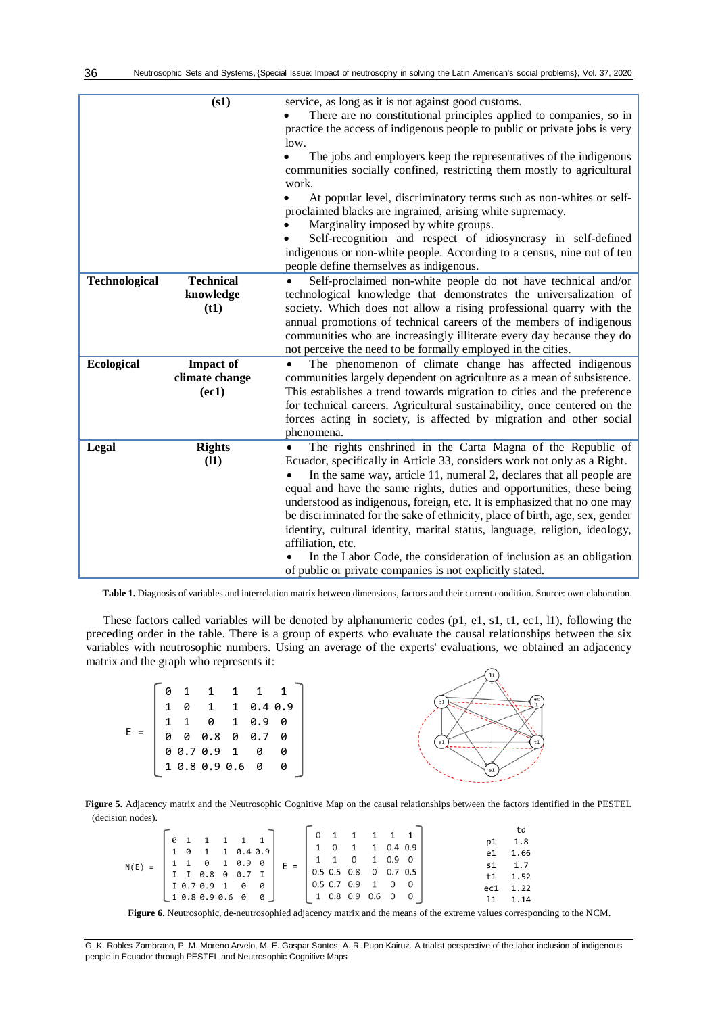|                   | (s1)                                        | service, as long as it is not against good customs.<br>There are no constitutional principles applied to companies, so in<br>practice the access of indigenous people to public or private jobs is very<br>low.<br>The jobs and employers keep the representatives of the indigenous<br>$\bullet$<br>communities socially confined, restricting them mostly to agricultural<br>work.<br>At popular level, discriminatory terms such as non-whites or self-<br>proclaimed blacks are ingrained, arising white supremacy.<br>Marginality imposed by white groups.<br>Self-recognition and respect of idiosyncrasy in self-defined                                                          |
|-------------------|---------------------------------------------|------------------------------------------------------------------------------------------------------------------------------------------------------------------------------------------------------------------------------------------------------------------------------------------------------------------------------------------------------------------------------------------------------------------------------------------------------------------------------------------------------------------------------------------------------------------------------------------------------------------------------------------------------------------------------------------|
|                   |                                             | indigenous or non-white people. According to a census, nine out of ten<br>people define themselves as indigenous.                                                                                                                                                                                                                                                                                                                                                                                                                                                                                                                                                                        |
| Technological     | <b>Technical</b><br>knowledge<br>(t1)       | Self-proclaimed non-white people do not have technical and/or<br>technological knowledge that demonstrates the universalization of<br>society. Which does not allow a rising professional quarry with the<br>annual promotions of technical careers of the members of indigenous<br>communities who are increasingly illiterate every day because they do<br>not perceive the need to be formally employed in the cities.                                                                                                                                                                                                                                                                |
| <b>Ecological</b> | <b>Impact of</b><br>climate change<br>(ec1) | The phenomenon of climate change has affected indigenous<br>$\bullet$<br>communities largely dependent on agriculture as a mean of subsistence.<br>This establishes a trend towards migration to cities and the preference<br>for technical careers. Agricultural sustainability, once centered on the<br>forces acting in society, is affected by migration and other social<br>phenomena.                                                                                                                                                                                                                                                                                              |
| Legal             | <b>Rights</b><br>(11)                       | The rights enshrined in the Carta Magna of the Republic of<br>Ecuador, specifically in Article 33, considers work not only as a Right.<br>In the same way, article 11, numeral 2, declares that all people are<br>equal and have the same rights, duties and opportunities, these being<br>understood as indigenous, foreign, etc. It is emphasized that no one may<br>be discriminated for the sake of ethnicity, place of birth, age, sex, gender<br>identity, cultural identity, marital status, language, religion, ideology,<br>affiliation, etc.<br>In the Labor Code, the consideration of inclusion as an obligation<br>of public or private companies is not explicitly stated. |

**Table 1.** Diagnosis of variables and interrelation matrix between dimensions, factors and their current condition. Source: own elaboration.

These factors called variables will be denoted by alphanumeric codes (p1, e1, s1, t1, ec1, l1), following the preceding order in the table. There is a group of experts who evaluate the causal relationships between the six variables with neutrosophic numbers. Using an average of the experts' evaluations, we obtained an adjacency matrix and the graph who represents it:



**Figure 5.** Adjacency matrix and the Neutrosophic Cognitive Map on the causal relationships between the factors identified in the PESTEL (decision nodes).  $\overline{a}$ 

|                                                                                             |                                                       |       | 0 1 1 1 1 1                                                                                    |                 |
|---------------------------------------------------------------------------------------------|-------------------------------------------------------|-------|------------------------------------------------------------------------------------------------|-----------------|
| $N(E) = \begin{bmatrix} 1 & 1 & 0 & 1 & 0.9 & 0 \\ 1 & I & 0.8 & 0 & 0.7 & I \end{bmatrix}$ | $\begin{bmatrix} 0 & 1 & 1 & 1 & 1 & 1 \end{bmatrix}$ |       | $1 \t 0 \t 1 \t 1 \t 0.4 \t 0.9$                                                               | p1 1.8          |
|                                                                                             | 1 0 1 1 0.4 0.9                                       |       |                                                                                                | e1 1.66         |
|                                                                                             |                                                       | $E =$ | $\begin{array}{cccccc} 1 & 1 & 0 & 1 & 0.9 & 0 \\ 0.5 & 0.5 & 0.8 & 0 & 0.7 & 0.5 \end{array}$ | $51 \t 1.7$     |
|                                                                                             |                                                       |       |                                                                                                |                 |
|                                                                                             | 10.70.9100                                            |       | $\begin{bmatrix} 0.5 & 0.7 & 0.9 & 1 & 0 & 0 \end{bmatrix}$                                    | $t1 \quad 1.52$ |
|                                                                                             |                                                       |       |                                                                                                | ec1 1.22        |
|                                                                                             | 10.80.90.600                                          |       | $\begin{bmatrix} 1 & 0.8 & 0.9 & 0.6 & 0 & 0 \end{bmatrix}$                                    | $11 \quad 1.14$ |

**Figure 6.** Neutrosophic, de-neutrosophied adjacency matrix and the means of the extreme values corresponding to the NCM.

36

G. K. Robles Zambrano, P. M. Moreno Arvelo, M. E. Gaspar Santos, A. R. Pupo Kairuz. A trialist perspective of the labor inclusion of indigenous people in Ecuador through PESTEL and Neutrosophic Cognitive Maps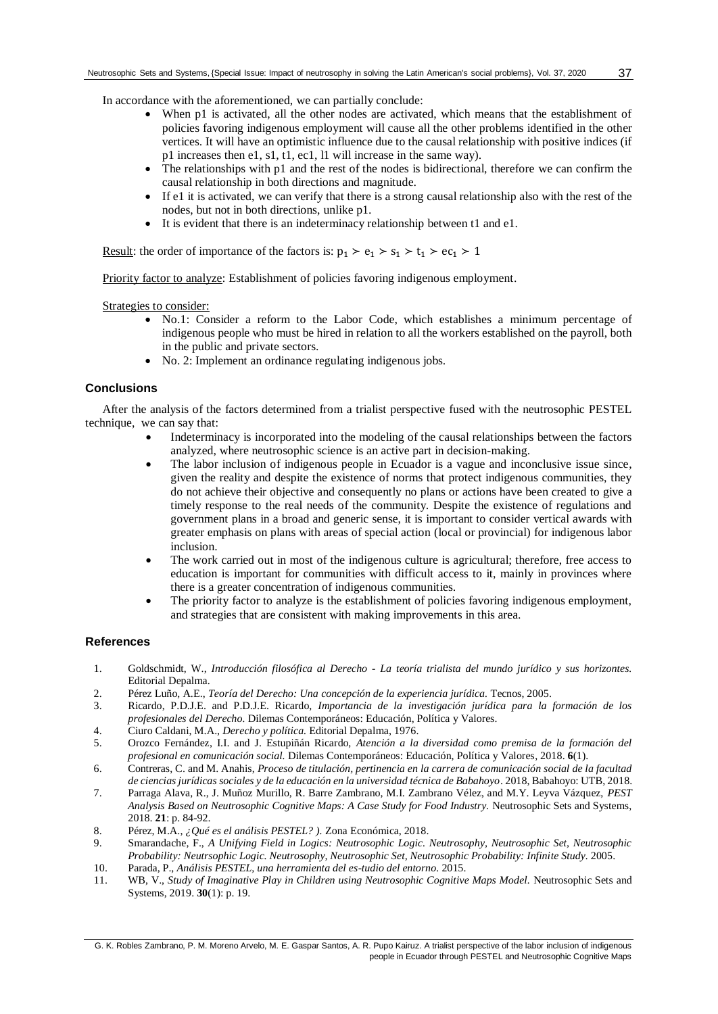In accordance with the aforementioned, we can partially conclude:

- When p1 is activated, all the other nodes are activated, which means that the establishment of policies favoring indigenous employment will cause all the other problems identified in the other vertices. It will have an optimistic influence due to the causal relationship with positive indices (if p1 increases then e1, s1, t1, ec1, l1 will increase in the same way).
- The relationships with p1 and the rest of the nodes is bidirectional, therefore we can confirm the causal relationship in both directions and magnitude.
- If e1 it is activated, we can verify that there is a strong causal relationship also with the rest of the nodes, but not in both directions, unlike p1.
- It is evident that there is an indeterminacy relationship between t1 and e1.

<u>Result</u>: the order of importance of the factors is:  $p_1 > e_1 > s_1 > t_1 > ec_1 > 1$ 

Priority factor to analyze: Establishment of policies favoring indigenous employment.

Strategies to consider:

- No.1: Consider a reform to the Labor Code, which establishes a minimum percentage of indigenous people who must be hired in relation to all the workers established on the payroll, both in the public and private sectors.
- No. 2: Implement an ordinance regulating indigenous jobs.

# **Conclusions**

After the analysis of the factors determined from a trialist perspective fused with the neutrosophic PESTEL technique, we can say that:

- Indeterminacy is incorporated into the modeling of the causal relationships between the factors analyzed, where neutrosophic science is an active part in decision-making.
- The labor inclusion of indigenous people in Ecuador is a vague and inconclusive issue since, given the reality and despite the existence of norms that protect indigenous communities, they do not achieve their objective and consequently no plans or actions have been created to give a timely response to the real needs of the community. Despite the existence of regulations and government plans in a broad and generic sense, it is important to consider vertical awards with greater emphasis on plans with areas of special action (local or provincial) for indigenous labor inclusion.
- The work carried out in most of the indigenous culture is agricultural; therefore, free access to education is important for communities with difficult access to it, mainly in provinces where there is a greater concentration of indigenous communities.
- The priority factor to analyze is the establishment of policies favoring indigenous employment, and strategies that are consistent with making improvements in this area.

# **References**

- <span id="page-6-0"></span>1. Goldschmidt, W., *Introducción filosófica al Derecho - La teoría trialista del mundo jurídico y sus horizontes.* Editorial Depalma.
- <span id="page-6-1"></span>2. Pérez Luño, A.E., *Teoría del Derecho: Una concepción de la experiencia jurídica.* Tecnos, 2005.
- <span id="page-6-2"></span>3. Ricardo, P.D.J.E. and P.D.J.E. Ricardo, *Importancia de la investigación jurídica para la formación de los profesionales del Derecho.* Dilemas Contemporáneos: Educación, Política y Valores.
- <span id="page-6-3"></span>4. Ciuro Caldani, M.A., *Derecho y política.* Editorial Depalma, 1976.
- <span id="page-6-4"></span>5. Orozco Fernández, I.I. and J. Estupiñán Ricardo, *Atención a la diversidad como premisa de la formación del profesional en comunicación social.* Dilemas Contemporáneos: Educación, Política y Valores, 2018. **6**(1).
- <span id="page-6-5"></span>6. Contreras, C. and M. Anahis, *Proceso de titulación, pertinencia en la carrera de comunicación social de la facultad de ciencias jurídicas sociales y de la educación en la universidad técnica de Babahoyo*. 2018, Babahoyo: UTB, 2018.
- <span id="page-6-6"></span>7. Parraga Alava, R., J. Muñoz Murillo, R. Barre Zambrano, M.I. Zambrano Vélez, and M.Y. Leyva Vázquez, *PEST Analysis Based on Neutrosophic Cognitive Maps: A Case Study for Food Industry.* Neutrosophic Sets and Systems, 2018. **21**: p. 84-92.
- <span id="page-6-7"></span>8. Pérez, M.A., *¿Qué es el análisis PESTEL? ).* Zona Económica, 2018.
- <span id="page-6-8"></span>9. Smarandache, F., *A Unifying Field in Logics: Neutrosophic Logic. Neutrosophy, Neutrosophic Set, Neutrosophic Probability: Neutrsophic Logic. Neutrosophy, Neutrosophic Set, Neutrosophic Probability: Infinite Study.* 2005.
- <span id="page-6-9"></span>10. Parada, P., *Análisis PESTEL, una herramienta del es-tudio del entorno.* 2015.
- <span id="page-6-10"></span>11. WB, V., *Study of Imaginative Play in Children using Neutrosophic Cognitive Maps Model.* Neutrosophic Sets and Systems, 2019. **30**(1): p. 19.